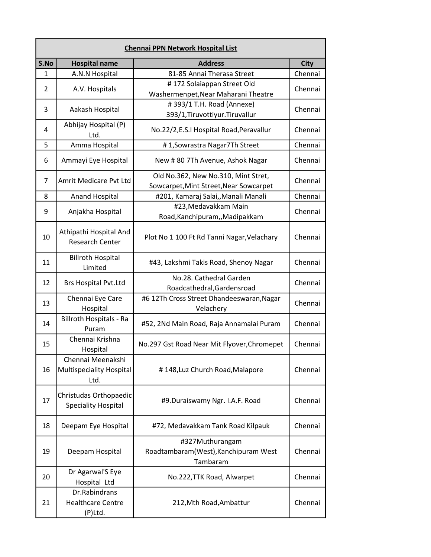| <b>Chennai PPN Network Hospital List</b> |                                                       |                                                                               |             |
|------------------------------------------|-------------------------------------------------------|-------------------------------------------------------------------------------|-------------|
| S.No                                     | <b>Hospital name</b>                                  | <b>Address</b>                                                                | <b>City</b> |
| 1                                        | A.N.N Hospital                                        | 81-85 Annai Therasa Street                                                    | Chennai     |
| 2                                        | A.V. Hospitals                                        | #172 Solaiappan Street Old<br>Washermenpet, Near Maharani Theatre             | Chennai     |
| 3                                        | Aakash Hospital                                       | #393/1 T.H. Road (Annexe)<br>393/1, Tiruvottiyur. Tiruvallur                  | Chennai     |
| 4                                        | Abhijay Hospital (P)<br>Ltd.                          | No.22/2,E.S.I Hospital Road, Peravallur                                       | Chennai     |
| 5                                        | Amma Hospital                                         | #1, Sowrastra Nagar7Th Street                                                 | Chennai     |
| 6                                        | Ammayi Eye Hospital                                   | New # 80 7Th Avenue, Ashok Nagar                                              | Chennai     |
| 7                                        | Amrit Medicare Pvt Ltd                                | Old No.362, New No.310, Mint Stret,<br>Sowcarpet, Mint Street, Near Sowcarpet | Chennai     |
| 8                                        | <b>Anand Hospital</b>                                 | #201, Kamaraj Salai,, Manali Manali                                           | Chennai     |
| 9                                        | Anjakha Hospital                                      | #23, Medavakkam Main<br>Road, Kanchipuram, , Madipakkam                       | Chennai     |
| 10                                       | Athipathi Hospital And<br><b>Research Center</b>      | Plot No 1 100 Ft Rd Tanni Nagar, Velachary                                    | Chennai     |
| 11                                       | <b>Billroth Hospital</b><br>Limited                   | #43, Lakshmi Takis Road, Shenoy Nagar                                         | Chennai     |
| 12                                       | <b>Brs Hospital Pvt.Ltd</b>                           | No.28. Cathedral Garden<br>Roadcathedral, Gardensroad                         | Chennai     |
| 13                                       | Chennai Eye Care<br>Hospital                          | #6 12Th Cross Street Dhandeeswaran, Nagar<br>Velachery                        | Chennai     |
| 14                                       | Billroth Hospitals - Ra<br>Puram                      | #52, 2Nd Main Road, Raja Annamalai Puram                                      | Chennai     |
| 15                                       | Chennai Krishna<br>Hospital                           | No.297 Gst Road Near Mit Flyover, Chromepet                                   | Chennai     |
| 16                                       | Chennai Meenakshi<br>Multispeciality Hospital<br>Ltd. | #148, Luz Church Road, Malapore                                               | Chennai     |
| 17                                       | Christudas Orthopaedic<br><b>Speciality Hospital</b>  | #9.Duraiswamy Ngr. I.A.F. Road                                                | Chennai     |
| 18                                       | Deepam Eye Hospital                                   | #72, Medavakkam Tank Road Kilpauk                                             | Chennai     |
| 19                                       | Deepam Hospital                                       | #327Muthurangam<br>Roadtambaram(West), Kanchipuram West<br>Tambaram           | Chennai     |
| 20                                       | Dr Agarwal'S Eye<br>Hospital Ltd                      | No.222, TTK Road, Alwarpet                                                    | Chennai     |
| 21                                       | Dr.Rabindrans<br><b>Healthcare Centre</b><br>(P)Ltd.  | 212, Mth Road, Ambattur                                                       | Chennai     |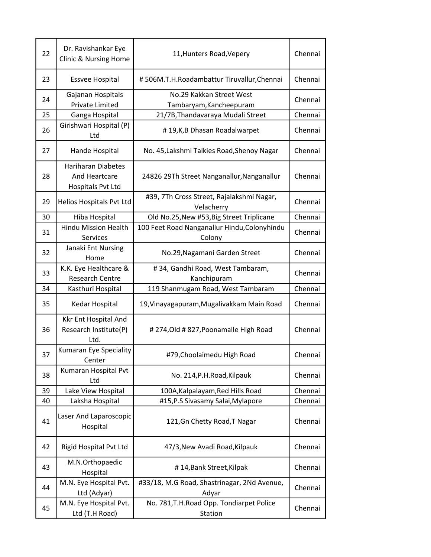| 22 | Dr. Ravishankar Eye<br>Clinic & Nursing Home                    | 11, Hunters Road, Vepery                                | Chennai |
|----|-----------------------------------------------------------------|---------------------------------------------------------|---------|
| 23 | <b>Essvee Hospital</b>                                          | #506M.T.H.Roadambattur Tiruvallur, Chennai              | Chennai |
| 24 | Gajanan Hospitals<br><b>Private Limited</b>                     | No.29 Kakkan Street West<br>Tambaryam, Kancheepuram     | Chennai |
| 25 | Ganga Hospital                                                  | 21/7B, Thandavaraya Mudali Street                       | Chennai |
| 26 | Girishwari Hospital (P)<br>Ltd                                  | #19,K,B Dhasan Roadalwarpet                             | Chennai |
| 27 | Hande Hospital                                                  | No. 45, Lakshmi Talkies Road, Shenoy Nagar              | Chennai |
| 28 | <b>Hariharan Diabetes</b><br>And Heartcare<br>Hospitals Pvt Ltd | 24826 29Th Street Nanganallur, Nanganallur              | Chennai |
| 29 | Helios Hospitals Pvt Ltd                                        | #39, 7Th Cross Street, Rajalakshmi Nagar,<br>Velacherry | Chennai |
| 30 | Hiba Hospital                                                   | Old No.25, New #53, Big Street Triplicane               | Chennai |
| 31 | <b>Hindu Mission Health</b><br>Services                         | 100 Feet Road Nanganallur Hindu, Colonyhindu<br>Colony  | Chennai |
| 32 | Janaki Ent Nursing<br>Home                                      | No.29, Nagamani Garden Street                           | Chennai |
| 33 | K.K. Eye Healthcare &<br><b>Research Centre</b>                 | #34, Gandhi Road, West Tambaram,<br>Kanchipuram         | Chennai |
| 34 | Kasthuri Hospital                                               | 119 Shanmugam Road, West Tambaram                       | Chennai |
| 35 | Kedar Hospital                                                  | 19, Vinayagapuram, Mugalivakkam Main Road               | Chennai |
| 36 | Kkr Ent Hospital And<br>Research Institute(P)<br>Ltd.           | #274, Old #827, Poonamalle High Road                    | Chennai |
| 37 | Kumaran Eye Speciality<br>Center                                | #79, Choolaimedu High Road                              | Chennai |
| 38 | Kumaran Hospital Pvt<br>Ltd                                     | No. 214, P.H. Road, Kilpauk                             | Chennai |
| 39 | Lake View Hospital                                              | 100A, Kalpalayam, Red Hills Road                        | Chennai |
| 40 | Laksha Hospital                                                 | #15, P.S Sivasamy Salai, Mylapore                       | Chennai |
| 41 | Laser And Laparoscopic<br>Hospital                              | 121, Gn Chetty Road, T Nagar                            | Chennai |
| 42 | Rigid Hospital Pvt Ltd                                          | 47/3, New Avadi Road, Kilpauk                           | Chennai |
| 43 | M.N.Orthopaedic<br>Hospital                                     | #14, Bank Street, Kilpak                                | Chennai |
| 44 | M.N. Eye Hospital Pvt.<br>Ltd (Adyar)                           | #33/18, M.G Road, Shastrinagar, 2Nd Avenue,<br>Adyar    | Chennai |
| 45 | M.N. Eye Hospital Pvt.<br>Ltd (T.H Road)                        | No. 781, T.H. Road Opp. Tondiarpet Police<br>Station    | Chennai |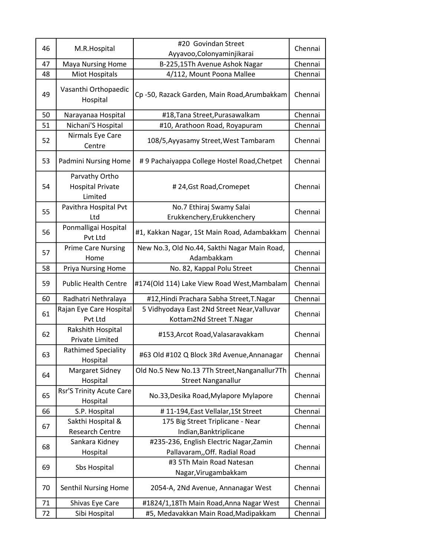|    |                                                      | #20 Govindan Street                                                        |         |
|----|------------------------------------------------------|----------------------------------------------------------------------------|---------|
| 46 | M.R.Hospital                                         | Ayyavoo, Colonyaminjikarai                                                 | Chennai |
| 47 | <b>Maya Nursing Home</b>                             | B-225,15Th Avenue Ashok Nagar                                              | Chennai |
| 48 | Miot Hospitals                                       | 4/112, Mount Poona Mallee                                                  | Chennai |
| 49 | Vasanthi Orthopaedic<br>Hospital                     | Cp-50, Razack Garden, Main Road, Arumbakkam                                | Chennai |
| 50 | Narayanaa Hospital                                   | #18, Tana Street, Purasawalkam                                             | Chennai |
| 51 | Nichani'S Hospital                                   | #10, Arathoon Road, Royapuram                                              | Chennai |
| 52 | Nirmals Eye Care<br>Centre                           | 108/5, Ayyasamy Street, West Tambaram                                      | Chennai |
| 53 | Padmini Nursing Home                                 | #9 Pachaiyappa College Hostel Road, Chetpet                                | Chennai |
| 54 | Parvathy Ortho<br><b>Hospital Private</b><br>Limited | #24, Gst Road, Cromepet                                                    | Chennai |
| 55 | Pavithra Hospital Pvt<br>Ltd                         | No.7 Ethiraj Swamy Salai<br>Erukkenchery, Erukkenchery                     | Chennai |
| 56 | Ponmalligai Hospital<br>Pvt Ltd                      | #1, Kakkan Nagar, 1St Main Road, Adambakkam                                | Chennai |
| 57 | <b>Prime Care Nursing</b><br>Home                    | New No.3, Old No.44, Sakthi Nagar Main Road,<br>Adambakkam                 | Chennai |
| 58 | Priya Nursing Home                                   | No. 82, Kappal Polu Street                                                 | Chennai |
| 59 | <b>Public Health Centre</b>                          | #174(Old 114) Lake View Road West, Mambalam                                | Chennai |
| 60 | Radhatri Nethralaya                                  | #12, Hindi Prachara Sabha Street, T. Nagar                                 | Chennai |
| 61 | Rajan Eye Care Hospital<br>Pvt Ltd                   | 5 Vidhyodaya East 2Nd Street Near, Valluvar<br>Kottam2Nd Street T.Nagar    | Chennai |
| 62 | Rakshith Hospital<br><b>Private Limited</b>          | #153, Arcot Road, Valasaravakkam                                           | Chennai |
| 63 | Rathimed Speciality<br>Hospital                      | #63 Old #102 Q Block 3Rd Avenue, Annanagar                                 | Chennai |
| 64 | Margaret Sidney<br>Hospital                          | Old No.5 New No.13 7Th Street, Nanganallur7Th<br><b>Street Nanganallur</b> | Chennai |
| 65 | <b>Rsr'S Trinity Acute Care</b><br>Hospital          | No.33, Desika Road, Mylapore Mylapore                                      | Chennai |
| 66 | S.P. Hospital                                        | #11-194, East Vellalar, 1St Street                                         | Chennai |
| 67 | Sakthi Hospital &<br><b>Research Centre</b>          | 175 Big Street Triplicane - Near<br>Indian, Banktriplicane                 | Chennai |
| 68 | Sankara Kidney<br>Hospital                           | #235-236, English Electric Nagar, Zamin<br>Pallavaram,, Off. Radial Road   | Chennai |
| 69 | Sbs Hospital                                         | #3 5Th Main Road Natesan<br>Nagar, Virugambakkam                           | Chennai |
| 70 | Senthil Nursing Home                                 | 2054-A, 2Nd Avenue, Annanagar West                                         | Chennai |
| 71 | Shivas Eye Care                                      | #1824/1,18Th Main Road, Anna Nagar West                                    | Chennai |
| 72 | Sibi Hospital                                        | #5, Medavakkan Main Road, Madipakkam                                       | Chennai |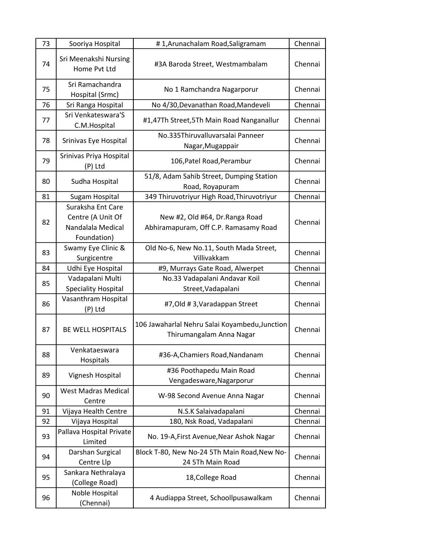| 73 | Sooriya Hospital                                                           | #1, Arunachalam Road, Saligramam                                           | Chennai |
|----|----------------------------------------------------------------------------|----------------------------------------------------------------------------|---------|
| 74 | Sri Meenakshi Nursing<br>Home Pvt Ltd                                      | #3A Baroda Street, Westmambalam                                            | Chennai |
| 75 | Sri Ramachandra<br>Hospital (Srmc)                                         | No 1 Ramchandra Nagarporur                                                 | Chennai |
| 76 | Sri Ranga Hospital                                                         | No 4/30, Devanathan Road, Mandeveli                                        | Chennai |
| 77 | Sri Venkateswara'S<br>C.M. Hospital                                        | #1,47Th Street,5Th Main Road Nanganallur                                   | Chennai |
| 78 | Srinivas Eye Hospital                                                      | No.335Thiruvalluvarsalai Panneer<br>Nagar, Mugappair                       | Chennai |
| 79 | Srinivas Priya Hospital<br>(P) Ltd                                         | 106, Patel Road, Perambur                                                  | Chennai |
| 80 | Sudha Hospital                                                             | 51/8, Adam Sahib Street, Dumping Station<br>Road, Royapuram                | Chennai |
| 81 | Sugam Hospital                                                             | 349 Thiruvotriyur High Road, Thiruvotriyur                                 | Chennai |
| 82 | Suraksha Ent Care<br>Centre (A Unit Of<br>Nandalala Medical<br>Foundation) | New #2, Old #64, Dr. Ranga Road<br>Abhiramapuram, Off C.P. Ramasamy Road   | Chennai |
| 83 | Swamy Eye Clinic &<br>Surgicentre                                          | Old No-6, New No.11, South Mada Street,<br>Villivakkam                     | Chennai |
| 84 | Udhi Eye Hospital                                                          | #9, Murrays Gate Road, Alwerpet                                            | Chennai |
| 85 | Vadapalani Multi<br><b>Speciality Hospital</b>                             | No.33 Vadapalani Andavar Koil<br>Street, Vadapalani                        | Chennai |
| 86 | Vasanthram Hospital<br>(P) Ltd                                             | #7, Old #3, Varadappan Street                                              | Chennai |
| 87 | <b>BE WELL HOSPITALS</b>                                                   | 106 Jawaharlal Nehru Salai Koyambedu, Junction<br>Thirumangalam Anna Nagar | Chennai |
| 88 | Venkataeswara<br>Hospitals                                                 | #36-A, Chamiers Road, Nandanam                                             | Chennai |
| 89 | Vignesh Hospital                                                           | #36 Poothapedu Main Road<br>Vengadesware, Nagarporur                       | Chennai |
| 90 | <b>West Madras Medical</b><br>Centre                                       | W-98 Second Avenue Anna Nagar                                              | Chennai |
| 91 | Vijaya Health Centre                                                       | N.S.K Salaivadapalani                                                      | Chennai |
| 92 | Vijaya Hospital                                                            | 180, Nsk Road, Vadapalani                                                  | Chennai |
| 93 | Pallava Hospital Private<br>Limited                                        | No. 19-A, First Avenue, Near Ashok Nagar                                   | Chennai |
| 94 | Darshan Surgical<br>Centre Llp                                             | Block T-80, New No-24 5Th Main Road, New No-<br>24 5Th Main Road           | Chennai |
| 95 | Sankara Nethralaya<br>(College Road)                                       | 18, College Road                                                           | Chennai |
| 96 | Noble Hospital<br>(Chennai)                                                | 4 Audiappa Street, Schoollpusawalkam                                       | Chennai |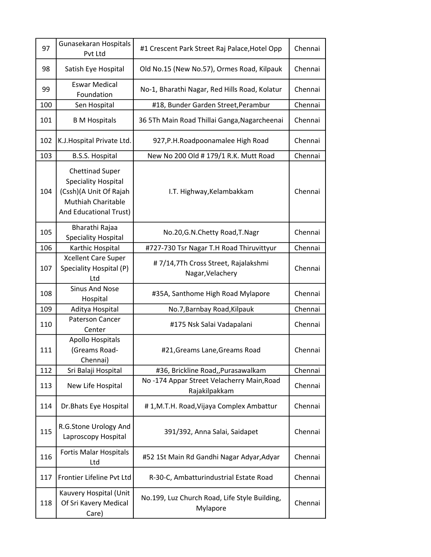| 97  | Gunasekaran Hospitals<br>Pvt Ltd                                                                                               | #1 Crescent Park Street Raj Palace, Hotel Opp              | Chennai |
|-----|--------------------------------------------------------------------------------------------------------------------------------|------------------------------------------------------------|---------|
| 98  | Satish Eye Hospital                                                                                                            | Old No.15 (New No.57), Ormes Road, Kilpauk                 | Chennai |
| 99  | <b>Eswar Medical</b><br>Foundation                                                                                             | No-1, Bharathi Nagar, Red Hills Road, Kolatur              | Chennai |
| 100 | Sen Hospital                                                                                                                   | #18, Bunder Garden Street, Perambur                        | Chennai |
| 101 | <b>B</b> M Hospitals                                                                                                           | 36 5Th Main Road Thillai Ganga, Nagarcheenai               | Chennai |
| 102 | K.J. Hospital Private Ltd.                                                                                                     | 927, P.H. Roadpoonamalee High Road                         | Chennai |
| 103 | <b>B.S.S. Hospital</b>                                                                                                         | New No 200 Old # 179/1 R.K. Mutt Road                      | Chennai |
| 104 | <b>Chettinad Super</b><br><b>Speciality Hospital</b><br>(Cssh)(A Unit Of Rajah<br>Muthiah Charitable<br>And Educational Trust) | I.T. Highway, Kelambakkam                                  | Chennai |
| 105 | Bharathi Rajaa<br><b>Speciality Hospital</b>                                                                                   | No.20, G.N. Chetty Road, T. Nagr                           | Chennai |
| 106 | Karthic Hospital                                                                                                               | #727-730 Tsr Nagar T.H Road Thiruvittyur                   | Chennai |
| 107 | <b>Xcellent Care Super</b><br>Speciality Hospital (P)<br>Ltd                                                                   | #7/14,7Th Cross Street, Rajalakshmi<br>Nagar, Velachery    | Chennai |
| 108 | <b>Sinus And Nose</b><br>Hospital                                                                                              | #35A, Santhome High Road Mylapore                          | Chennai |
| 109 | Aditya Hospital                                                                                                                | No.7, Barnbay Road, Kilpauk                                | Chennai |
| 110 | <b>Paterson Cancer</b><br>Center                                                                                               | #175 Nsk Salai Vadapalani                                  | Chennai |
| 111 | <b>Apollo Hospitals</b><br>(Greams Road-<br>Chennai)                                                                           | #21, Greams Lane, Greams Road                              | Chennai |
| 112 | Sri Balaji Hospital                                                                                                            | #36, Brickline Road,, Purasawalkam                         | Chennai |
| 113 | New Life Hospital                                                                                                              | No-174 Appar Street Velacherry Main, Road<br>Rajakilpakkam | Chennai |
| 114 | Dr. Bhats Eye Hospital                                                                                                         | #1,M.T.H. Road, Vijaya Complex Ambattur                    | Chennai |
| 115 | R.G.Stone Urology And<br>Laproscopy Hospital                                                                                   | 391/392, Anna Salai, Saidapet                              | Chennai |
| 116 | Fortis Malar Hospitals<br>Ltd                                                                                                  | #52 1St Main Rd Gandhi Nagar Adyar, Adyar                  | Chennai |
| 117 | Frontier Lifeline Pvt Ltd                                                                                                      | R-30-C, Ambatturindustrial Estate Road                     | Chennai |
| 118 | Kauvery Hospital (Unit<br>Of Sri Kavery Medical<br>Care)                                                                       | No.199, Luz Church Road, Life Style Building,<br>Mylapore  | Chennai |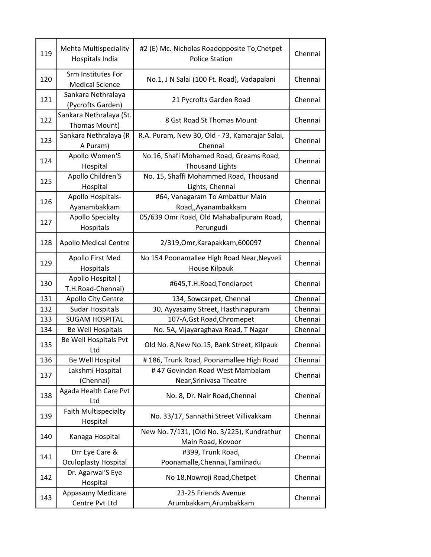| 119 | <b>Mehta Multispeciality</b><br>Hospitals India | #2 (E) Mc. Nicholas Roadopposite To, Chetpet<br><b>Police Station</b> | Chennai |
|-----|-------------------------------------------------|-----------------------------------------------------------------------|---------|
| 120 | Srm Institutes For<br><b>Medical Science</b>    | No.1, J N Salai (100 Ft. Road), Vadapalani                            | Chennai |
| 121 | Sankara Nethralaya<br>(Pycrofts Garden)         | 21 Pycrofts Garden Road                                               | Chennai |
| 122 | Sankara Nethralaya (St.<br>Thomas Mount)        | 8 Gst Road St Thomas Mount                                            | Chennai |
| 123 | Sankara Nethralaya (R<br>A Puram)               | R.A. Puram, New 30, Old - 73, Kamarajar Salai,<br>Chennai             | Chennai |
| 124 | Apollo Women'S<br>Hospital                      | No.16, Shafi Mohamed Road, Greams Road,<br><b>Thousand Lights</b>     | Chennai |
| 125 | Apollo Children'S<br>Hospital                   | No. 15, Shaffi Mohammed Road, Thousand<br>Lights, Chennai             | Chennai |
| 126 | Apollo Hospitals-<br>Ayanambakkam               | #64, Vanagaram To Ambattur Main<br>Road,, Ayanambakkam                | Chennai |
| 127 | <b>Apollo Specialty</b><br>Hospitals            | 05/639 Omr Road, Old Mahabalipuram Road,<br>Perungudi                 | Chennai |
| 128 | <b>Apollo Medical Centre</b>                    | 2/319, Omr, Karapakkam, 600097                                        | Chennai |
| 129 | Apollo First Med<br>Hospitals                   | No 154 Poonamallee High Road Near, Neyveli<br>House Kilpauk           | Chennai |
| 130 | Apollo Hospital (<br>T.H.Road-Chennai)          | #645, T.H. Road, Tondiarpet                                           | Chennai |
| 131 | Apollo City Centre                              | 134, Sowcarpet, Chennai                                               | Chennai |
| 132 | <b>Sudar Hospitals</b>                          | 30, Ayyasamy Street, Hasthinapuram                                    | Chennai |
| 133 | <b>SUGAM HOSPITAL</b>                           | 107-A, Gst Road, Chromepet                                            | Chennai |
| 134 | Be Well Hospitals                               | No. 5A, Vijayaraghava Road, T Nagar                                   | Chennai |
| 135 | Be Well Hospitals Pvt<br>Ltd                    | Old No. 8, New No.15, Bank Street, Kilpauk                            | Chennai |
| 136 | Be Well Hospital                                | #186, Trunk Road, Poonamallee High Road                               | Chennai |
| 137 | Lakshmi Hospital<br>(Chennai)                   | #47 Govindan Road West Mambalam<br>Near, Srinivasa Theatre            | Chennai |
| 138 | Agada Health Care Pvt<br>Ltd                    | No. 8, Dr. Nair Road, Chennai                                         | Chennai |
| 139 | Faith Multispecialty<br>Hospital                | No. 33/17, Sannathi Street Villivakkam                                | Chennai |
| 140 | Kanaga Hospital                                 | New No. 7/131, (Old No. 3/225), Kundrathur<br>Main Road, Kovoor       | Chennai |
| 141 | Drr Eye Care &<br><b>Oculoplasty Hospital</b>   | #399, Trunk Road,<br>Poonamalle, Chennai, Tamilnadu                   | Chennai |
| 142 | Dr. Agarwal'S Eye<br>Hospital                   | No 18, Nowroji Road, Chetpet                                          | Chennai |
| 143 | Appasamy Medicare<br>Centre Pvt Ltd             | 23-25 Friends Avenue<br>Arumbakkam, Arumbakkam                        | Chennai |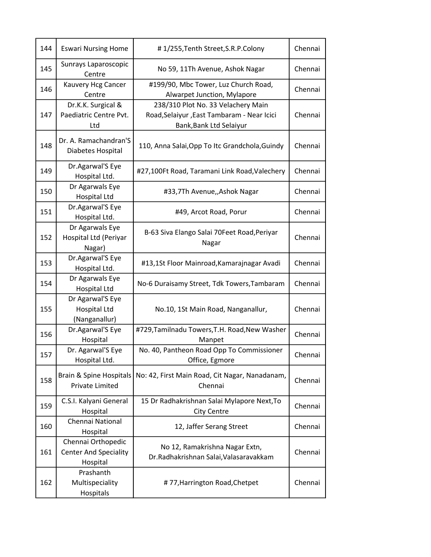| 144 | <b>Eswari Nursing Home</b>                                     | #1/255, Tenth Street, S.R.P. Colony                                      | Chennai |
|-----|----------------------------------------------------------------|--------------------------------------------------------------------------|---------|
| 145 | Sunrays Laparoscopic<br>Centre                                 | No 59, 11Th Avenue, Ashok Nagar                                          | Chennai |
| 146 | Kauvery Hcg Cancer<br>Centre                                   | #199/90, Mbc Tower, Luz Church Road,<br>Alwarpet Junction, Mylapore      | Chennai |
|     | Dr.K.K. Surgical &                                             | 238/310 Plot No. 33 Velachery Main                                       |         |
| 147 | Paediatric Centre Pvt.<br>Ltd                                  | Road, Selaiyur, East Tambaram - Near Icici<br>Bank, Bank Ltd Selaiyur    | Chennai |
| 148 | Dr. A. Ramachandran'S<br>Diabetes Hospital                     | 110, Anna Salai, Opp To Itc Grandchola, Guindy                           | Chennai |
| 149 | Dr.Agarwal'S Eye<br>Hospital Ltd.                              | #27,100Ft Road, Taramani Link Road, Valechery                            | Chennai |
| 150 | Dr Agarwals Eye<br><b>Hospital Ltd</b>                         | #33,7Th Avenue,,Ashok Nagar                                              | Chennai |
| 151 | Dr.Agarwal'S Eye<br>Hospital Ltd.                              | #49, Arcot Road, Porur                                                   | Chennai |
| 152 | Dr Agarwals Eye<br>Hospital Ltd (Periyar<br>Nagar)             | B-63 Siva Elango Salai 70Feet Road, Periyar<br>Nagar                     | Chennai |
| 153 | Dr.Agarwal'S Eye<br>Hospital Ltd.                              | #13,1St Floor Mainroad, Kamarajnagar Avadi                               | Chennai |
| 154 | Dr Agarwals Eye<br><b>Hospital Ltd</b>                         | No-6 Duraisamy Street, Tdk Towers, Tambaram                              | Chennai |
| 155 | Dr Agarwal'S Eye<br>Hospital Ltd<br>(Nanganallur)              | No.10, 1St Main Road, Nanganallur,                                       | Chennai |
| 156 | Dr.Agarwal'S Eye<br>Hospital                                   | #729, Tamilnadu Towers, T.H. Road, New Washer<br>Manpet                  | Chennai |
| 157 | Dr. Agarwal'S Eye<br>Hospital Ltd.                             | No. 40, Pantheon Road Opp To Commissioner<br>Office, Egmore              | Chennai |
| 158 | Brain & Spine Hospitals<br>Private Limited                     | No: 42, First Main Road, Cit Nagar, Nanadanam,<br>Chennai                | Chennai |
| 159 | C.S.I. Kalyani General<br>Hospital                             | 15 Dr Radhakrishnan Salai Mylapore Next, To<br><b>City Centre</b>        | Chennai |
| 160 | Chennai National<br>Hospital                                   | 12, Jaffer Serang Street                                                 | Chennai |
| 161 | Chennai Orthopedic<br><b>Center And Speciality</b><br>Hospital | No 12, Ramakrishna Nagar Extn,<br>Dr.Radhakrishnan Salai, Valasaravakkam | Chennai |
| 162 | Prashanth<br>Multispeciality<br>Hospitals                      | #77, Harrington Road, Chetpet                                            | Chennai |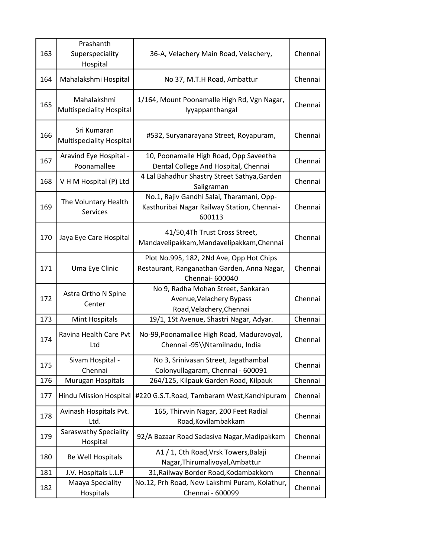| 163 | Prashanth<br>Superspeciality<br>Hospital       | 36-A, Velachery Main Road, Velachery,                                                                      | Chennai |
|-----|------------------------------------------------|------------------------------------------------------------------------------------------------------------|---------|
| 164 | Mahalakshmi Hospital                           | No 37, M.T.H Road, Ambattur                                                                                | Chennai |
| 165 | Mahalakshmi<br><b>Multispeciality Hospital</b> | 1/164, Mount Poonamalle High Rd, Vgn Nagar,<br>Iyyappanthangal                                             | Chennai |
| 166 | Sri Kumaran<br><b>Multispeciality Hospital</b> | #532, Suryanarayana Street, Royapuram,                                                                     | Chennai |
| 167 | Aravind Eye Hospital -<br>Poonamallee          | 10, Poonamalle High Road, Opp Saveetha<br>Dental College And Hospital, Chennai                             | Chennai |
| 168 | V H M Hospital (P) Ltd                         | 4 Lal Bahadhur Shastry Street Sathya, Garden<br>Saligraman                                                 | Chennai |
| 169 | The Voluntary Health<br><b>Services</b>        | No.1, Rajiv Gandhi Salai, Tharamani, Opp-<br>Kasthuribai Nagar Railway Station, Chennai-<br>600113         | Chennai |
| 170 | Jaya Eye Care Hospital                         | 41/50,4Th Trust Cross Street,<br>Mandavelipakkam, Mandavelipakkam, Chennai                                 | Chennai |
| 171 | Uma Eye Clinic                                 | Plot No.995, 182, 2Nd Ave, Opp Hot Chips<br>Restaurant, Ranganathan Garden, Anna Nagar,<br>Chennai- 600040 | Chennai |
| 172 | Astra Ortho N Spine<br>Center                  | No 9, Radha Mohan Street, Sankaran<br>Avenue, Velachery Bypass<br>Road, Velachery, Chennai                 | Chennai |
| 173 | Mint Hospitals                                 | 19/1, 1St Avenue, Shastri Nagar, Adyar.                                                                    | Chennai |
| 174 | Ravina Health Care Pvt<br>Ltd                  | No-99, Poonamallee High Road, Maduravoyal,<br>Chennai -95\\Ntamilnadu, India                               | Chennai |
| 175 | Sivam Hospital -<br>Chennai                    | No 3, Srinivasan Street, Jagathambal<br>Colonyullagaram, Chennai - 600091                                  | Chennai |
| 176 | Murugan Hospitals                              | 264/125, Kilpauk Garden Road, Kilpauk                                                                      | Chennai |
| 177 | <b>Hindu Mission Hospital</b>                  | #220 G.S.T.Road, Tambaram West, Kanchipuram                                                                | Chennai |
| 178 | Avinash Hospitals Pvt.<br>Ltd.                 | 165, Thirvvin Nagar, 200 Feet Radial<br>Road, Kovilambakkam                                                | Chennai |
| 179 | <b>Saraswathy Speciality</b><br>Hospital       | 92/A Bazaar Road Sadasiva Nagar, Madipakkam                                                                | Chennai |
| 180 | Be Well Hospitals                              | A1 / 1, Cth Road, Vrsk Towers, Balaji<br>Nagar, Thirumalivoyal, Ambattur                                   | Chennai |
| 181 | J.V. Hospitals L.L.P                           | 31, Railway Border Road, Kodambakkom                                                                       | Chennai |
| 182 | Maaya Speciality<br>Hospitals                  | No.12, Prh Road, New Lakshmi Puram, Kolathur,<br>Chennai - 600099                                          | Chennai |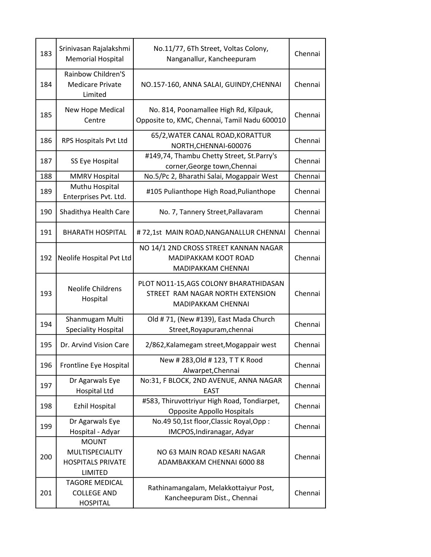| 183 | Srinivasan Rajalakshmi<br><b>Memorial Hospital</b>                            | No.11/77, 6Th Street, Voltas Colony,<br>Nanganallur, Kancheepuram                                | Chennai |
|-----|-------------------------------------------------------------------------------|--------------------------------------------------------------------------------------------------|---------|
| 184 | <b>Rainbow Children'S</b><br><b>Medicare Private</b><br>Limited               | NO.157-160, ANNA SALAI, GUINDY, CHENNAI                                                          | Chennai |
| 185 | New Hope Medical<br>Centre                                                    | No. 814, Poonamallee High Rd, Kilpauk,<br>Opposite to, KMC, Chennai, Tamil Nadu 600010           | Chennai |
| 186 | RPS Hospitals Pvt Ltd                                                         | 65/2, WATER CANAL ROAD, KORATTUR<br>NORTH, CHENNAI-600076                                        | Chennai |
| 187 | SS Eye Hospital                                                               | #149,74, Thambu Chetty Street, St.Parry's<br>corner, George town, Chennai                        | Chennai |
| 188 | <b>MMRV Hospital</b>                                                          | No.5/Pc 2, Bharathi Salai, Mogappair West                                                        | Chennai |
| 189 | Muthu Hospital<br>Enterprises Pvt. Ltd.                                       | #105 Pulianthope High Road, Pulianthope                                                          | Chennai |
| 190 | Shadithya Health Care                                                         | No. 7, Tannery Street, Pallavaram                                                                | Chennai |
| 191 | <b>BHARATH HOSPITAL</b>                                                       | #72,1st MAIN ROAD, NANGANALLUR CHENNAI                                                           | Chennai |
| 192 | Neolife Hospital Pvt Ltd                                                      | NO 14/1 2ND CROSS STREET KANNAN NAGAR<br>MADIPAKKAM KOOT ROAD<br>MADIPAKKAM CHENNAI              | Chennai |
| 193 | <b>Neolife Childrens</b><br>Hospital                                          | PLOT NO11-15, AGS COLONY BHARATHIDASAN<br>STREET RAM NAGAR NORTH EXTENSION<br>MADIPAKKAM CHENNAI | Chennai |
| 194 | Shanmugam Multi<br><b>Speciality Hospital</b>                                 | Old #71, (New #139), East Mada Church<br>Street, Royapuram, chennai                              | Chennai |
| 195 | Dr. Arvind Vision Care                                                        | 2/862, Kalamegam street, Mogappair west                                                          | Chennai |
| 196 | Frontline Eye Hospital                                                        | New # 283, Old # 123, TTK Rood<br>Alwarpet, Chennai                                              | Chennai |
| 197 | Dr Agarwals Eye<br><b>Hospital Ltd</b>                                        | No:31, F BLOCK, 2ND AVENUE, ANNA NAGAR<br><b>EAST</b>                                            | Chennai |
| 198 | <b>Ezhil Hospital</b>                                                         | #583, Thiruvottriyur High Road, Tondiarpet,<br>Opposite Appollo Hospitals                        | Chennai |
| 199 | Dr Agarwals Eye<br>Hospital - Adyar                                           | No.49 50,1st floor, Classic Royal, Opp:<br>IMCPOS, Indiranagar, Adyar                            | Chennai |
| 200 | <b>MOUNT</b><br>MULTISPECIALITY<br><b>HOSPITALS PRIVATE</b><br><b>LIMITED</b> | NO 63 MAIN ROAD KESARI NAGAR<br>ADAMBAKKAM CHENNAI 6000 88                                       | Chennai |
| 201 | <b>TAGORE MEDICAL</b><br><b>COLLEGE AND</b><br><b>HOSPITAL</b>                | Rathinamangalam, Melakkottaiyur Post,<br>Kancheepuram Dist., Chennai                             | Chennai |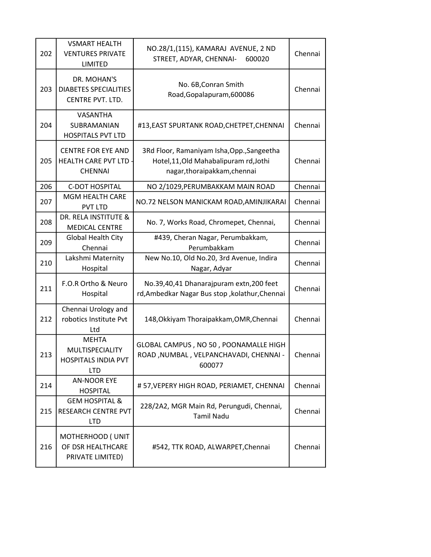| 202 | <b>VSMART HEALTH</b><br><b>VENTURES PRIVATE</b><br><b>LIMITED</b>           | NO.28/1,(115), KAMARAJ AVENUE, 2 ND<br>STREET, ADYAR, CHENNAI-<br>600020                                           | Chennai |
|-----|-----------------------------------------------------------------------------|--------------------------------------------------------------------------------------------------------------------|---------|
| 203 | DR. MOHAN'S<br><b>DIABETES SPECIALITIES</b><br>CENTRE PVT. LTD.             | No. 6B, Conran Smith<br>Road, Gopalapuram, 600086                                                                  | Chennai |
| 204 | VASANTHA<br>SUBRAMANIAN<br><b>HOSPITALS PVT LTD</b>                         | #13, EAST SPURTANK ROAD, CHETPET, CHENNAI                                                                          | Chennai |
| 205 | <b>CENTRE FOR EYE AND</b><br><b>HEALTH CARE PVT LTD</b><br><b>CHENNAI</b>   | 3Rd Floor, Ramaniyam Isha, Opp., Sangeetha<br>Hotel, 11, Old Mahabalipuram rd, Jothi<br>nagar,thoraipakkam,chennai | Chennai |
| 206 | <b>C-DOT HOSPITAL</b>                                                       | NO 2/1029, PERUMBAKKAM MAIN ROAD                                                                                   | Chennai |
| 207 | <b>MGM HEALTH CARE</b><br><b>PVT LTD</b>                                    | NO.72 NELSON MANICKAM ROAD, AMINJIKARAI                                                                            | Chennai |
| 208 | DR. RELA INSTITUTE &<br><b>MEDICAL CENTRE</b>                               | No. 7, Works Road, Chromepet, Chennai,                                                                             | Chennai |
| 209 | Global Health City<br>Chennai                                               | #439, Cheran Nagar, Perumbakkam,<br>Perumbakkam                                                                    | Chennai |
| 210 | Lakshmi Maternity<br>Hospital                                               | New No.10, Old No.20, 3rd Avenue, Indira<br>Nagar, Adyar                                                           | Chennai |
| 211 | F.O.R Ortho & Neuro<br>Hospital                                             | No.39,40,41 Dhanarajpuram extn,200 feet<br>rd, Ambedkar Nagar Bus stop, kolathur, Chennai                          | Chennai |
| 212 | Chennai Urology and<br>robotics Institute Pvt<br>Ltd                        | 148, Okkiyam Thoraipakkam, OMR, Chennai                                                                            | Chennai |
| 213 | <b>MEHTA</b><br>MULTISPECIALITY<br><b>HOSPITALS INDIA PVT</b><br><b>LTD</b> | GLOBAL CAMPUS, NO 50, POONAMALLE HIGH<br>ROAD, NUMBAL, VELPANCHAVADI, CHENNAI -<br>600077                          | Chennai |
| 214 | <b>AN-NOOR EYE</b><br><b>HOSPITAL</b>                                       | #57, VEPERY HIGH ROAD, PERIAMET, CHENNAI                                                                           | Chennai |
| 215 | <b>GEM HOSPITAL &amp;</b><br>RESEARCH CENTRE PVT<br><b>LTD</b>              | 228/2A2, MGR Main Rd, Perungudi, Chennai,<br><b>Tamil Nadu</b>                                                     | Chennai |
| 216 | MOTHERHOOD (UNIT<br>OF DSR HEALTHCARE<br>PRIVATE LIMITED)                   | #542, TTK ROAD, ALWARPET, Chennai                                                                                  | Chennai |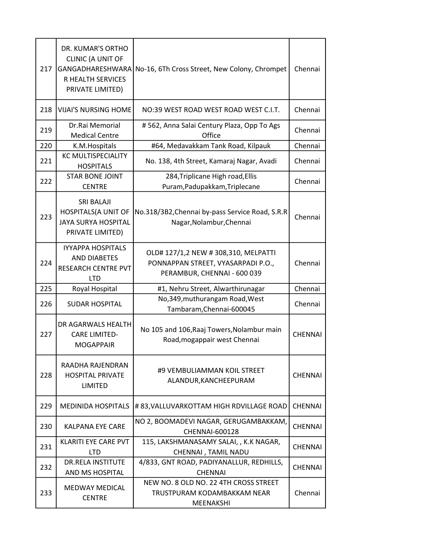| 217 | DR. KUMAR'S ORTHO<br><b>CLINIC (A UNIT OF</b><br>GANGADHARESHWARA<br>R HEALTH SERVICES<br>PRIVATE LIMITED) | No-16, 6Th Cross Street, New Colony, Chrompet                                                             | Chennai        |
|-----|------------------------------------------------------------------------------------------------------------|-----------------------------------------------------------------------------------------------------------|----------------|
| 218 | <b>VIJAI'S NURSING HOME</b>                                                                                | NO:39 WEST ROAD WEST ROAD WEST C.I.T.                                                                     | Chennai        |
| 219 | Dr.Rai Memorial<br><b>Medical Centre</b>                                                                   | #562, Anna Salai Century Plaza, Opp To Ags<br>Office                                                      | Chennai        |
| 220 | K.M.Hospitals                                                                                              | #64, Medavakkam Tank Road, Kilpauk                                                                        | Chennai        |
| 221 | <b>KC MULTISPECIALITY</b><br><b>HOSPITALS</b>                                                              | No. 138, 4th Street, Kamaraj Nagar, Avadi                                                                 | Chennai        |
| 222 | <b>STAR BONE JOINT</b><br><b>CENTRE</b>                                                                    | 284, Triplicane High road, Ellis<br>Puram, Padupakkam, Triplecane                                         | Chennai        |
| 223 | <b>SRI BALAJI</b><br><b>HOSPITALS(A UNIT OF</b><br><b>JAYA SURYA HOSPITAL</b><br>PRIVATE LIMITED)          | No.318/3B2, Chennai by-pass Service Road, S.R.R<br>Nagar, Nolambur, Chennai                               | Chennai        |
| 224 | <b>IYYAPPA HOSPITALS</b><br><b>AND DIABETES</b><br><b>RESEARCH CENTRE PVT</b><br><b>LTD</b>                | OLD# 127/1,2 NEW # 308,310, MELPATTI<br>PONNAPPAN STREET, VYASARPADI P.O.,<br>PERAMBUR, CHENNAI - 600 039 | Chennai        |
| 225 | Royal Hospital                                                                                             | #1, Nehru Street, Alwarthirunagar                                                                         | Chennai        |
| 226 | <b>SUDAR HOSPITAL</b>                                                                                      | No, 349, muthurangam Road, West<br>Tambaram, Chennai-600045                                               | Chennai        |
| 227 | DR AGARWALS HEALTH<br><b>CARE LIMITED-</b><br><b>MOGAPPAIR</b>                                             | No 105 and 106, Raaj Towers, Nolambur main<br>Road, mogappair west Chennai                                | <b>CHENNAI</b> |
| 228 | RAADHA RAJENDRAN<br><b>HOSPITAL PRIVATE</b><br>LIMITED                                                     | #9 VEMBULIAMMAN KOIL STREET<br>ALANDUR, KANCHEEPURAM                                                      | <b>CHENNAI</b> |
| 229 | <b>MEDINIDA HOSPITALS</b>                                                                                  | #83, VALLUVARKOTTAM HIGH RDVILLAGE ROAD                                                                   | <b>CHENNAI</b> |
| 230 | <b>KALPANA EYE CARE</b>                                                                                    | NO 2, BOOMADEVI NAGAR, GERUGAMBAKKAM,<br>CHENNAI-600128                                                   | <b>CHENNAI</b> |
| 231 | KLARITI EYE CARE PVT<br><b>LTD</b>                                                                         | 115, LAKSHMANASAMY SALAI, , K.K NAGAR,<br>CHENNAI, TAMIL NADU                                             | <b>CHENNAI</b> |
| 232 | <b>DR.RELA INSTITUTE</b><br>AND MS HOSPITAL                                                                | 4/833, GNT ROAD, PADIYANALLUR, REDHILLS,<br><b>CHENNAI</b>                                                | <b>CHENNAI</b> |
| 233 | <b>MEDWAY MEDICAL</b><br><b>CENTRE</b>                                                                     | NEW NO. 8 OLD NO. 22 4TH CROSS STREET<br>TRUSTPURAM KODAMBAKKAM NEAR<br>MEENAKSHI                         | Chennai        |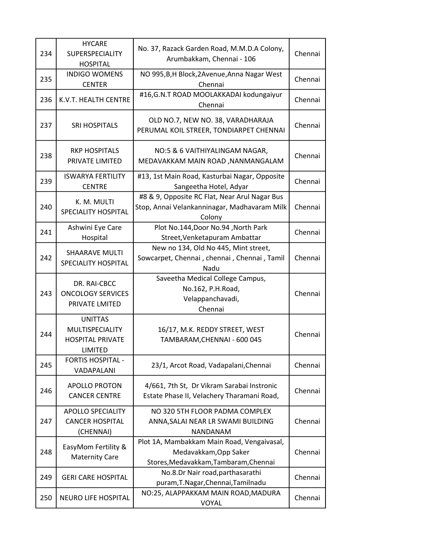| 234 | <b>HYCARE</b><br><b>SUPERSPECIALITY</b><br><b>HOSPITAL</b>                     | No. 37, Razack Garden Road, M.M.D.A Colony,<br>Arumbakkam, Chennai - 106                                     | Chennai |
|-----|--------------------------------------------------------------------------------|--------------------------------------------------------------------------------------------------------------|---------|
| 235 | <b>INDIGO WOMENS</b><br><b>CENTER</b>                                          | NO 995, B, H Block, 2 Avenue, Anna Nagar West<br>Chennai                                                     | Chennai |
| 236 | K.V.T. HEALTH CENTRE                                                           | #16, G.N. TROAD MOOLAKKADAI kodungaiyur<br>Chennai                                                           | Chennai |
| 237 | <b>SRI HOSPITALS</b>                                                           | OLD NO.7, NEW NO. 38, VARADHARAJA<br>PERUMAL KOIL STREER, TONDIARPET CHENNAI                                 | Chennai |
| 238 | <b>RKP HOSPITALS</b><br>PRIVATE LIMITED                                        | NO:5 & 6 VAITHIYALINGAM NAGAR,<br>MEDAVAKKAM MAIN ROAD, NANMANGALAM                                          | Chennai |
| 239 | <b>ISWARYA FERTILITY</b><br><b>CENTRE</b>                                      | #13, 1st Main Road, Kasturbai Nagar, Opposite<br>Sangeetha Hotel, Adyar                                      | Chennai |
| 240 | K. M. MULTI<br>SPECIALITY HOSPITAL                                             | #8 & 9, Opposite RC Flat, Near Arul Nagar Bus<br>Stop, Annai Velankanninagar, Madhavaram Milk<br>Colony      | Chennai |
| 241 | Ashwini Eye Care<br>Hospital                                                   | Plot No.144, Door No.94, North Park<br>Street, Venketapuram Ambattar                                         | Chennai |
| 242 | <b>SHAARAVE MULTI</b><br>SPECIALITY HOSPITAL                                   | New no 134, Old No 445, Mint street,<br>Sowcarpet, Chennai, chennai, Chennai, Tamil<br>Nadu                  | Chennai |
| 243 | DR. RAI-CBCC<br><b>ONCOLOGY SERVICES</b><br>PRIVATE LMITED                     | Saveetha Medical College Campus,<br>No.162, P.H.Road,<br>Velappanchavadi,<br>Chennai                         | Chennai |
| 244 | <b>UNITTAS</b><br><b>MULTISPECIALITY</b><br><b>HOSPITAL PRIVATE</b><br>LIMITED | 16/17, M.K. REDDY STREET, WEST<br>TAMBARAM, CHENNAI - 600 045                                                | Chennai |
| 245 | <b>FORTIS HOSPITAL -</b><br>VADAPALANI                                         | 23/1, Arcot Road, Vadapalani, Chennai                                                                        | Chennai |
| 246 | <b>APOLLO PROTON</b><br><b>CANCER CENTRE</b>                                   | 4/661, 7th St, Dr Vikram Sarabai Instronic<br>Estate Phase II, Velachery Tharamani Road,                     | Chennai |
| 247 | <b>APOLLO SPECIALITY</b><br><b>CANCER HOSPITAL</b><br>(CHENNAI)                | NO 320 5TH FLOOR PADMA COMPLEX<br>ANNA, SALAI NEAR LR SWAMI BUILDING<br>NANDANAM                             | Chennai |
| 248 | EasyMom Fertility &<br><b>Maternity Care</b>                                   | Plot 1A, Mambakkam Main Road, Vengaivasal,<br>Medavakkam, Opp Saker<br>Stores, Medavakkam, Tambaram, Chennai | Chennai |
| 249 | <b>GERI CARE HOSPITAL</b>                                                      | No.8.Dr Nair road, parthasarathi<br>puram, T. Nagar, Chennai, Tamilnadu                                      | Chennai |
| 250 | <b>NEURO LIFE HOSPITAL</b>                                                     | NO:25, ALAPPAKKAM MAIN ROAD, MADURA<br>VOYAL                                                                 | Chennai |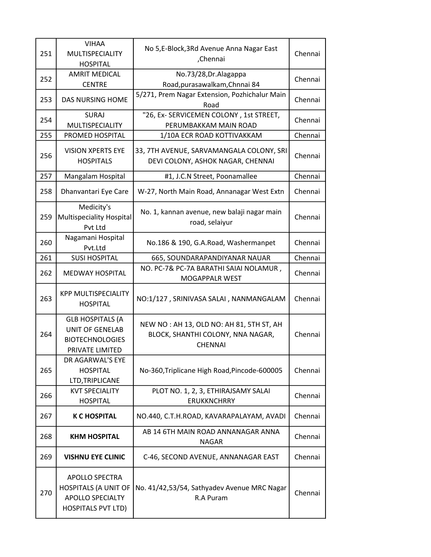| 251 | <b>VIHAA</b><br>MULTISPECIALITY<br><b>HOSPITAL</b>                                                           | No 5,E-Block, 3Rd Avenue Anna Nagar East<br>,Chennai                                            | Chennai |
|-----|--------------------------------------------------------------------------------------------------------------|-------------------------------------------------------------------------------------------------|---------|
| 252 | <b>AMRIT MEDICAL</b><br><b>CENTRE</b>                                                                        | No.73/28, Dr. Alagappa<br>Road, purasawalkam, Chnnai 84                                         | Chennai |
| 253 | <b>DAS NURSING HOME</b>                                                                                      | 5/271, Prem Nagar Extension, Pozhichalur Main<br>Road                                           | Chennai |
| 254 | <b>SURAJ</b><br>MULTISPECIALITY                                                                              | "26, Ex- SERVICEMEN COLONY, 1st STREET,<br>PERUMBAKKAM MAIN ROAD                                | Chennai |
| 255 | PROMED HOSPITAL                                                                                              | 1/10A ECR ROAD KOTTIVAKKAM                                                                      | Chennai |
| 256 | <b>VISION XPERTS EYE</b><br><b>HOSPITALS</b>                                                                 | 33, 7TH AVENUE, SARVAMANGALA COLONY, SRI<br>DEVI COLONY, ASHOK NAGAR, CHENNAI                   | Chennai |
| 257 | Mangalam Hospital                                                                                            | #1, J.C.N Street, Poonamallee                                                                   | Chennai |
| 258 | Dhanvantari Eye Care                                                                                         | W-27, North Main Road, Annanagar West Extn                                                      | Chennai |
| 259 | Medicity's<br><b>Multispeciality Hospital</b><br>Pvt Ltd                                                     | No. 1, kannan avenue, new balaji nagar main<br>road, selaiyur                                   | Chennai |
| 260 | Nagamani Hospital<br>Pvt.Ltd                                                                                 | No.186 & 190, G.A.Road, Washermanpet                                                            | Chennai |
| 261 | <b>SUSI HOSPITAL</b>                                                                                         | 665, SOUNDARAPANDIYANAR NAUAR                                                                   | Chennai |
| 262 | <b>MEDWAY HOSPITAL</b>                                                                                       | NO. PC-7& PC-7A BARATHI SAIAI NOLAMUR,<br><b>MOGAPPALR WEST</b>                                 | Chennai |
| 263 | <b>KPP MULTISPECIALITY</b><br><b>HOSPITAL</b>                                                                | NO:1/127, SRINIVASA SALAI, NANMANGALAM                                                          | Chennai |
| 264 | <b>GLB HOSPITALS (A</b><br><b>UNIT OF GENELAB</b><br><b>BIOTECHNOLOGIES</b><br>PRIVATE LIMITED               | NEW NO: AH 13, OLD NO: AH 81, 5TH ST, AH<br>BLOCK, SHANTHI COLONY, NNA NAGAR,<br><b>CHENNAI</b> | Chennai |
| 265 | DR AGARWAL'S EYE<br><b>HOSPITAL</b><br>LTD, TRIPLICANE                                                       | No-360, Triplicane High Road, Pincode-600005                                                    | Chennai |
| 266 | <b>KVT SPECIALITY</b><br><b>HOSPITAL</b>                                                                     | PLOT NO. 1, 2, 3, ETHIRAJSAMY SALAI<br><b>ERUKKNCHRRY</b>                                       | Chennai |
| 267 | <b>K C HOSPITAL</b>                                                                                          | NO.440, C.T.H.ROAD, KAVARAPALAYAM, AVADI                                                        | Chennai |
| 268 | <b>KHM HOSPITAL</b>                                                                                          | AB 14 6TH MAIN ROAD ANNANAGAR ANNA<br><b>NAGAR</b>                                              | Chennai |
| 269 | <b>VISHNU EYE CLINIC</b>                                                                                     | C-46, SECOND AVENUE, ANNANAGAR EAST                                                             | Chennai |
| 270 | <b>APOLLO SPECTRA</b><br><b>HOSPITALS (A UNIT OF</b><br><b>APOLLO SPECIALTY</b><br><b>HOSPITALS PVT LTD)</b> | No. 41/42,53/54, Sathyadev Avenue MRC Nagar<br>R.A Puram                                        | Chennai |